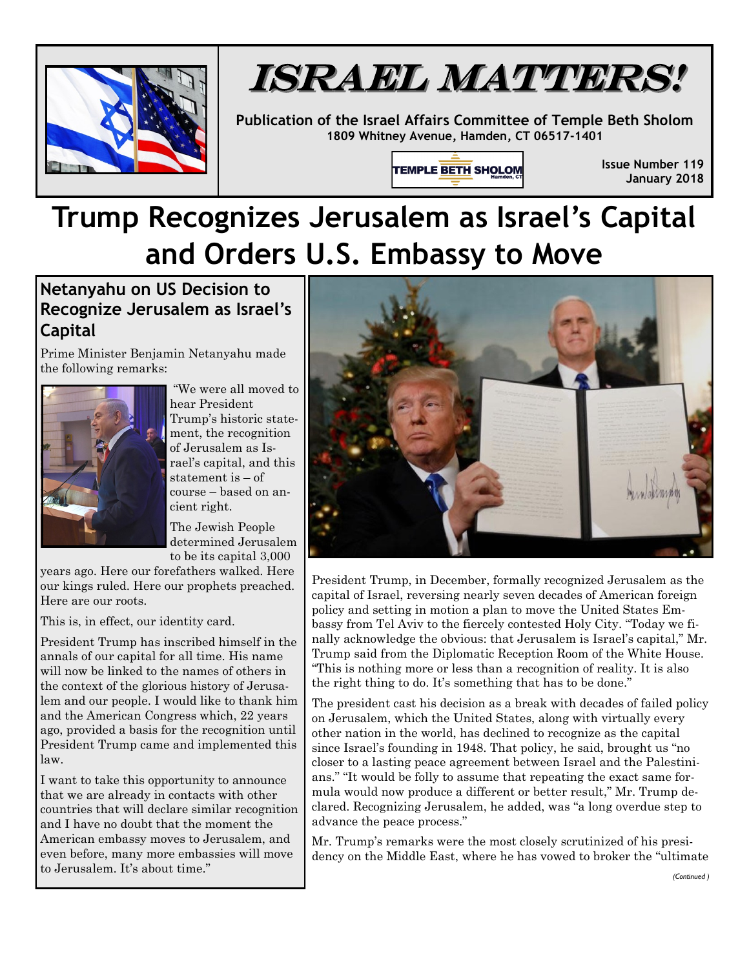



**Publication of the Israel Affairs Committee of Temple Beth Sholom 1809 Whitney Avenue, Hamden, CT 06517-1401**

TEMPLE BETH SHOLOM

**Issue Number 119 January 2018**

## **Trump Recognizes Jerusalem as Israel's Capital and Orders U.S. Embassy to Move**

## **Netanyahu on US Decision to Recognize Jerusalem as Israel's Capital**

Prime Minister Benjamin Netanyahu made the following remarks:



"We were all moved to hear President Trump's historic statement, the recognition of Jerusalem as Israel's capital, and this statement is – of course – based on ancient right.

The Jewish People determined Jerusalem to be its capital 3,000

years ago. Here our forefathers walked. Here our kings ruled. Here our prophets preached. Here are our roots.

This is, in effect, our identity card.

President Trump has inscribed himself in the annals of our capital for all time. His name will now be linked to the names of others in the context of the glorious history of Jerusalem and our people. I would like to thank him and the American Congress which, 22 years ago, provided a basis for the recognition until President Trump came and implemented this law.

I want to take this opportunity to announce that we are already in contacts with other countries that will declare similar recognition and I have no doubt that the moment the American embassy moves to Jerusalem, and even before, many more embassies will move to Jerusalem. It's about time."



President Trump, in December, formally recognized Jerusalem as the capital of Israel, reversing nearly seven decades of American foreign policy and setting in motion a plan to move the United States Embassy from Tel Aviv to the fiercely contested Holy City. "Today we finally acknowledge the obvious: that Jerusalem is Israel's capital," Mr. Trump said from the Diplomatic Reception Room of the White House. "This is nothing more or less than a recognition of reality. It is also the right thing to do. It's something that has to be done."

The president cast his decision as a break with decades of failed policy on Jerusalem, which the United States, along with virtually every other nation in the world, has declined to recognize as the capital since Israel's founding in 1948. That policy, he said, brought us "no closer to a lasting peace agreement between Israel and the Palestinians." "It would be folly to assume that repeating the exact same formula would now produce a different or better result," Mr. Trump declared. Recognizing Jerusalem, he added, was "a long overdue step to advance the peace process."

Mr. Trump's remarks were the most closely scrutinized of his presidency on the Middle East, where he has vowed to broker the "ultimate